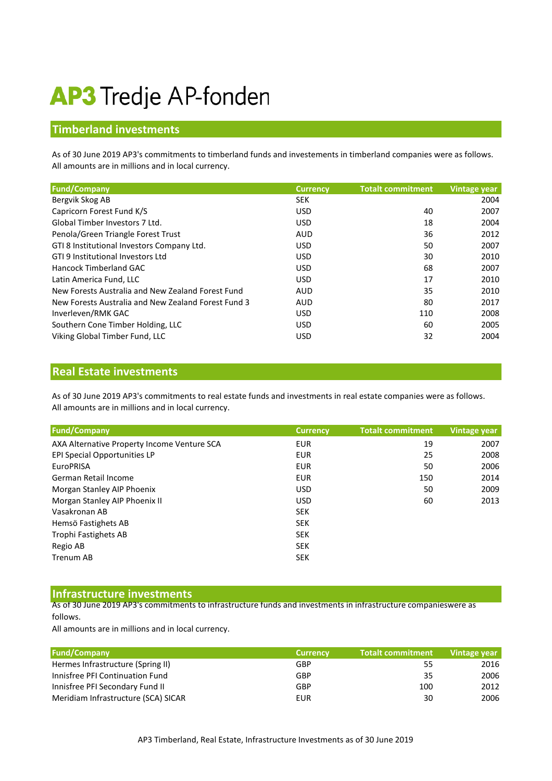# **AP3** Tredje AP-fonden

## **Timberland investments**

All amounts are in millions and in local currency. As of 30 June 2019 AP3's commitments to timberland funds and investements in timberland companies were as follows.

| <b>Fund/Company</b>                                 | <b>Currency</b> | <b>Totalt commitment</b> | <b>Vintage year</b> |
|-----------------------------------------------------|-----------------|--------------------------|---------------------|
| Bergvik Skog AB                                     | <b>SEK</b>      |                          | 2004                |
| Capricorn Forest Fund K/S                           | <b>USD</b>      | 40                       | 2007                |
| Global Timber Investors 7 Ltd.                      | <b>USD</b>      | 18                       | 2004                |
| Penola/Green Triangle Forest Trust                  | <b>AUD</b>      | 36                       | 2012                |
| GTI 8 Institutional Investors Company Ltd.          | <b>USD</b>      | 50                       | 2007                |
| GTI 9 Institutional Investors Ltd                   | <b>USD</b>      | 30                       | 2010                |
| Hancock Timberland GAC                              | <b>USD</b>      | 68                       | 2007                |
| Latin America Fund, LLC                             | <b>USD</b>      | 17                       | 2010                |
| New Forests Australia and New Zealand Forest Fund   | <b>AUD</b>      | 35                       | 2010                |
| New Forests Australia and New Zealand Forest Fund 3 | <b>AUD</b>      | 80                       | 2017                |
| Inverleven/RMK GAC                                  | <b>USD</b>      | 110                      | 2008                |
| Southern Cone Timber Holding, LLC                   | <b>USD</b>      | 60                       | 2005                |
| Viking Global Timber Fund, LLC                      | <b>USD</b>      | 32                       | 2004                |

### **Real Estate investments**

All amounts are in millions and in local currency. As of 30 June 2019 AP3's commitments to real estate funds and investments in real estate companies were as follows.

| <b>Fund/Company</b>                         | <b>Currency</b> | <b>Totalt commitment</b> | Vintage year |
|---------------------------------------------|-----------------|--------------------------|--------------|
| AXA Alternative Property Income Venture SCA | <b>EUR</b>      | 19                       | 2007         |
| EPI Special Opportunities LP                | <b>EUR</b>      | 25                       | 2008         |
| <b>EuroPRISA</b>                            | <b>EUR</b>      | 50                       | 2006         |
| German Retail Income                        | <b>EUR</b>      | 150                      | 2014         |
| Morgan Stanley AIP Phoenix                  | <b>USD</b>      | 50                       | 2009         |
| Morgan Stanley AIP Phoenix II               | <b>USD</b>      | 60                       | 2013         |
| Vasakronan AB                               | <b>SEK</b>      |                          |              |
| Hemsö Fastighets AB                         | <b>SEK</b>      |                          |              |
| Trophi Fastighets AB                        | <b>SEK</b>      |                          |              |
| Regio AB                                    | <b>SEK</b>      |                          |              |
| <b>Trenum AB</b>                            | <b>SEK</b>      |                          |              |

#### **Infrastructure investments**

As of 30 June 2019 AP3's commitments to infrastructure funds and investments in infrastructure companieswere as follows.

All amounts are in millions and in local currency.

| <b>Fund/Company</b>                 | <b>Currency</b> | <b>Totalt commitment</b> | Vintage year |
|-------------------------------------|-----------------|--------------------------|--------------|
| Hermes Infrastructure (Spring II)   | GBP             | 55                       | 2016         |
| Innisfree PFI Continuation Fund     | GBP             | 35                       | 2006         |
| Innisfree PFI Secondary Fund II     | GBP             | 100                      | 2012         |
| Meridiam Infrastructure (SCA) SICAR | EUR             | 30                       | 2006         |